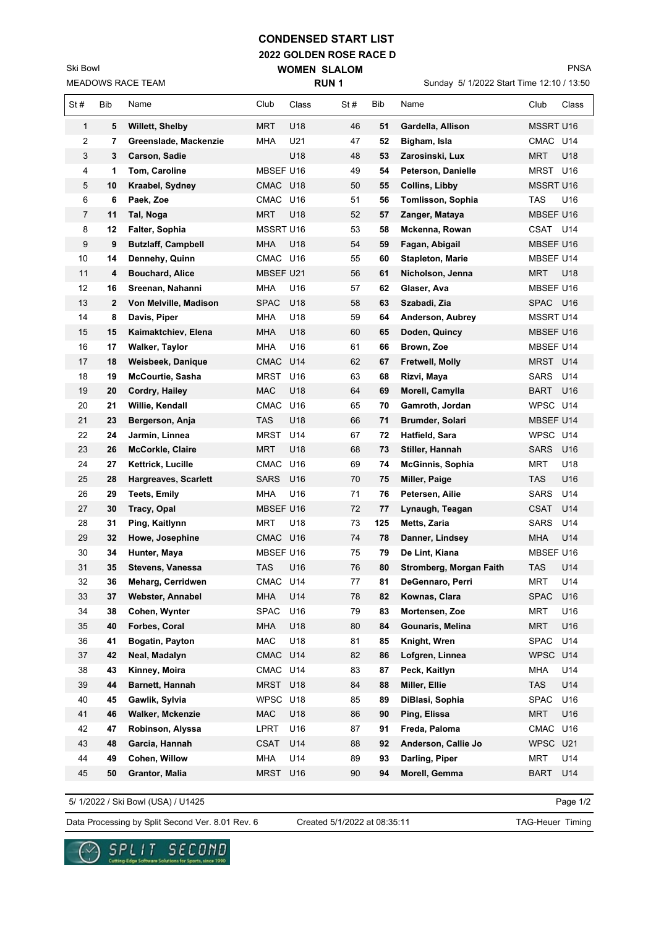## **CONDENSED START LIST**

**2022 GOLDEN ROSE RACE D WOMEN SLALOM** 

MEADOWS RACE TEAM Ski Bowl

PNSA

Sunday 5/ 1/2022 Start Time 12:10 / 13:50

| <b>MEADOWS RACE TEAM</b> |     |                             | <b>RUN1</b>      |                 |     |     | Sunday 5/ 1/2022 Start Time 12:10 / 13:50 |                  |                 |  |
|--------------------------|-----|-----------------------------|------------------|-----------------|-----|-----|-------------------------------------------|------------------|-----------------|--|
| St#                      | Bib | Name                        | Club             | Class           | St# | Bib | Name                                      | Club             | Class           |  |
| 1                        | 5   | <b>Willett, Shelby</b>      | <b>MRT</b>       | U18             | 46  | 51  | Gardella, Allison                         | MSSRT U16        |                 |  |
| 2                        | 7.  | Greenslade, Mackenzie       | MHA              | U21             | 47  | 52  | Bigham, Isla                              | CMAC U14         |                 |  |
| 3                        | 3   | Carson, Sadie               |                  | U18             | 48  | 53  | Zarosinski, Lux                           | <b>MRT</b>       | U18             |  |
| 4                        | 1   | Tom, Caroline               | MBSEF U16        |                 | 49  | 54  | Peterson, Danielle                        | MRST             | U16             |  |
| 5                        | 10  | Kraabel, Sydney             | CMAC U18         |                 | 50  | 55  | <b>Collins, Libby</b>                     | MSSRT U16        |                 |  |
| 6                        | 6   | Paek, Zoe                   | CMAC U16         |                 | 51  | 56  | Tomlisson, Sophia                         | <b>TAS</b>       | U16             |  |
| 7                        | 11  | Tal, Noga                   | MRT              | U18             | 52  | 57  | Zanger, Mataya                            | MBSEF U16        |                 |  |
| 8                        | 12  | <b>Falter, Sophia</b>       | <b>MSSRT U16</b> |                 | 53  | 58  | Mckenna, Rowan                            | <b>CSAT</b>      | U14             |  |
| 9                        | 9   | <b>Butzlaff, Campbell</b>   | <b>MHA</b>       | U18             | 54  | 59  | Fagan, Abigail                            | <b>MBSEF U16</b> |                 |  |
| 10                       | 14  | Dennehy, Quinn              | CMAC U16         |                 | 55  | 60  | <b>Stapleton, Marie</b>                   | <b>MBSEF U14</b> |                 |  |
| 11                       | 4   | <b>Bouchard, Alice</b>      | MBSEF U21        |                 | 56  | 61  | Nicholson, Jenna                          | MRT              | U18             |  |
| 12                       | 16  | Sreenan, Nahanni            | MHA              | U16             | 57  | 62  | Glaser, Ava                               | MBSEF U16        |                 |  |
| 13                       | 2   | Von Melville, Madison       | SPAC             | U18             | 58  | 63  | Szabadi, Zia                              | SPAC             | U16             |  |
| 14                       | 8   | Davis, Piper                | MHA              | U18             | 59  | 64  | Anderson, Aubrey                          | MSSRT U14        |                 |  |
| 15                       | 15  | Kaimaktchiev, Elena         | MHA              | U18             | 60  | 65  | Doden, Quincy                             | MBSEF U16        |                 |  |
| 16                       | 17  | Walker, Taylor              | MHA              | U16             | 61  | 66  | Brown, Zoe                                | MBSEF U14        |                 |  |
| 17                       | 18  | Weisbeek, Danique           | CMAC             | U14             | 62  | 67  | Fretwell, Molly                           | MRST U14         |                 |  |
| 18                       | 19  | <b>McCourtie, Sasha</b>     | MRST U16         |                 | 63  | 68  | Rizvi, Maya                               | <b>SARS</b>      | U14             |  |
| 19                       | 20  | Cordry, Hailey              | MAC              | U18             | 64  | 69  | Morell, Camylla                           | <b>BART</b>      | U <sub>16</sub> |  |
| 20                       | 21  | Willie, Kendall             | CMAC U16         |                 | 65  | 70  | Gamroth, Jordan                           | WPSC U14         |                 |  |
| 21                       | 23  | Bergerson, Anja             | TAS              | U18             | 66  | 71  | Brumder, Solari                           | MBSEF U14        |                 |  |
| 22                       | 24  | Jarmin, Linnea              | <b>MRST</b>      | U14             | 67  | 72  | Hatfield, Sara                            | WPSC U14         |                 |  |
| 23                       | 26  | <b>McCorkle, Claire</b>     | MRT              | U18             | 68  | 73  | Stiller, Hannah                           | <b>SARS</b>      | U16             |  |
| 24                       | 27  | Kettrick, Lucille           | <b>CMAC</b>      | U16             | 69  | 74  | <b>McGinnis, Sophia</b>                   | MRT              | U18             |  |
| 25                       | 28  | <b>Hargreaves, Scarlett</b> | <b>SARS</b>      | U <sub>16</sub> | 70  | 75  | Miller, Paige                             | TAS              | U16             |  |
| 26                       | 29  | <b>Teets, Emily</b>         | <b>MHA</b>       | U16             | 71  | 76  | Petersen, Ailie                           | <b>SARS</b>      | U14             |  |
| 27                       | 30  | Tracy, Opal                 | MBSEF U16        |                 | 72  | 77  | Lynaugh, Teagan                           | <b>CSAT</b>      | U14             |  |
| 28                       | 31  | Ping, Kaitlynn              | <b>MRT</b>       | U18             | 73  | 125 | Metts, Zaria                              | <b>SARS</b>      | U14             |  |
| 29                       | 32  | Howe, Josephine             | CMAC U16         |                 | 74  | 78  | Danner, Lindsey                           | <b>MHA</b>       | U14             |  |
| 30                       | 34  | Hunter, Maya                | MBSEF U16        |                 | 75  | 79  | De Lint, Kiana                            | MBSEF U16        |                 |  |
| 31                       | 35  | Stevens, Vanessa            | TAS              | U16             | 76  | 80  | Stromberg, Morgan Faith                   | <b>TAS</b>       | U14             |  |
| 32                       | 36  | Meharg, Cerridwen           | CMAC U14         |                 | 77  | 81  | DeGennaro, Perri                          | <b>MRT</b>       | U14             |  |
| 33                       | 37  | <b>Webster, Annabel</b>     | MHA              | U14             | 78  | 82  | Kownas, Clara                             | <b>SPAC</b>      | U16             |  |
| 34                       | 38  | Cohen, Wynter               | <b>SPAC</b>      | U16             | 79  | 83  | Mortensen, Zoe                            | MRT              | U16             |  |
| 35                       | 40  | Forbes, Coral               | <b>MHA</b>       | U18             | 80  | 84  | Gounaris, Melina                          | <b>MRT</b>       | U16             |  |
| 36                       | 41  | <b>Bogatin, Payton</b>      | MAC              | U18             | 81  | 85  | Knight, Wren                              | SPAC             | U14             |  |
| 37                       | 42  | Neal, Madalyn               | CMAC             | U14             | 82  | 86  | Lofgren, Linnea                           | <b>WPSC</b>      | U14             |  |
| 38                       | 43  | Kinney, Moira               | CMAC U14         |                 | 83  | 87  | Peck, Kaitlyn                             | <b>MHA</b>       | U14             |  |
| 39                       | 44  | Barnett, Hannah             | MRST             | U18             | 84  | 88  | Miller, Ellie                             | <b>TAS</b>       | U14             |  |
| 40                       | 45  | Gawlik, Sylvia              | WPSC U18         |                 | 85  | 89  | DiBlasi, Sophia                           | <b>SPAC</b>      | U16             |  |
| 41                       | 46  | Walker, Mckenzie            | <b>MAC</b>       | U18             | 86  | 90  | Ping, Elissa                              | MRT              | U16             |  |
| 42                       | 47  | Robinson, Alyssa            | LPRT             | U16             | 87  | 91  | Freda, Paloma                             | <b>CMAC</b>      | U16             |  |
| 43                       | 48  | Garcia, Hannah              | CSAT             | U14             | 88  | 92  | Anderson, Callie Jo                       | <b>WPSC</b>      | U21             |  |
| 44                       | 49  | Cohen, Willow               | MHA              | U14             | 89  | 93  | Darling, Piper                            | <b>MRT</b>       | U14             |  |
| 45                       | 50  | Grantor, Malia              | MRST             | U16             | 90  | 94  | Morell, Gemma                             | <b>BART</b>      | U14             |  |

5/ 1/2022 / Ski Bowl (USA) / U1425

Page 1/2

Data Processing by Split Second Ver. 8.01 Rev. 6 Created 5/1/2022 at 08:35:11 TAG-Heuer Timing

Created 5/1/2022 at 08:35:11